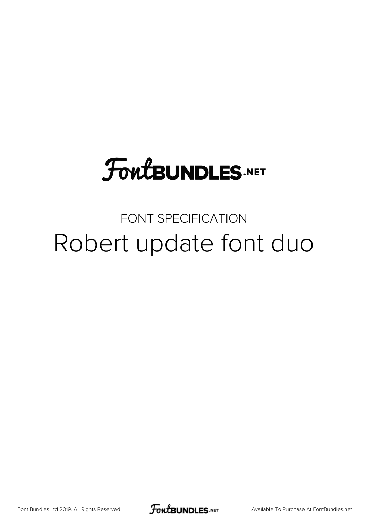# **FoutBUNDLES.NET**

# FONT SPECIFICATION Robert update font duo

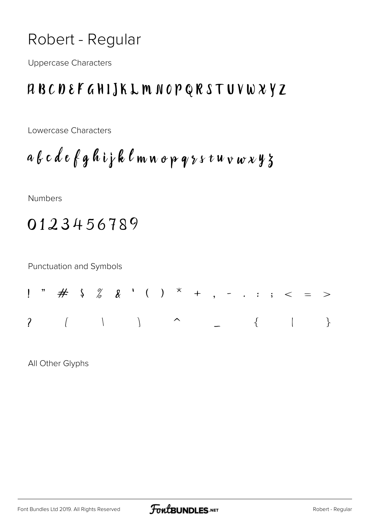### Robert - Regular

**Uppercase Characters** 

#### RBCDEFGHIJKLMNOPQRSTUVWXYZ

Lowercase Characters

Numbers

## 0123456789

Punctuation and Symbols

All Other Glyphs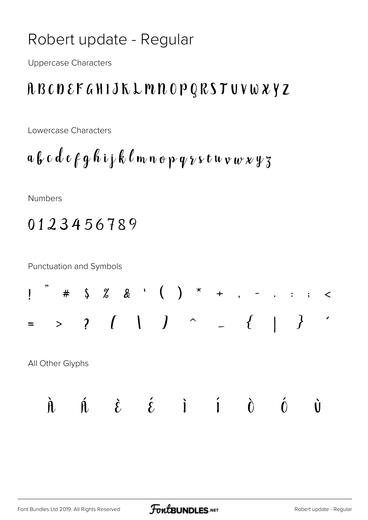### Robert update - Regular

**Uppercase Characters** 

### **ABCDEFGHIJKLMNOPQRSTUVWXYZ**

Lowercase Characters

$$
a\,b\,c\,d\,e\,f\,g\,h\,i\,j\,k\,\ell\,m\,n\,o\,p\,q\,\gamma\,\nu\,t\,u\,v\,w\,\nu\,\gamma\,z
$$

**Numbers** 

## 0123456789

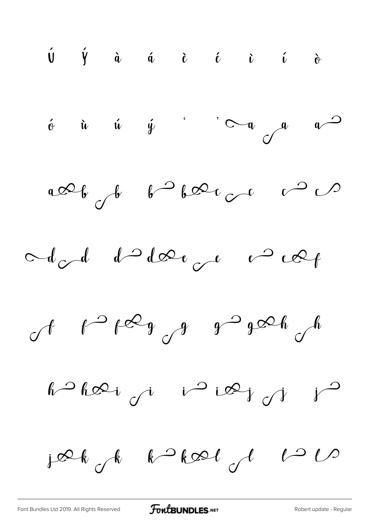$\begin{array}{ccccccccccccccccc} \hat{\mathsf{U}} & \hat{\mathsf{Y}} & \hat{\mathsf{u}} & \hat{\mathsf{u}} & \hat{\mathsf{u}} & \hat{\mathsf{u}} & \hat{\mathsf{c}} & \hat{\mathsf{c}} & \hat{\mathsf{c}} & \hat{\mathsf{c}} & \hat{\mathsf{c}} & \hat{\mathsf{c}} & \hat{\mathsf{c}} & \hat{\mathsf{c}} & \hat{\mathsf{c}} & \hat{\mathsf{c}} & \hat{\mathsf{c}} & \hat{\mathsf{c}} & \hat{\mathsf{c}} & \hat{\mathsf{c}} & \hat{\mathsf{c}} & \hat{\mathsf{c}} & \hat{\mathsf{c}} & \hat$  $\phi$  ù  $\phi$  '  $\sim$   $\phi$  a  $\rightarrow$ alle de  $\int d^2b$ Add d'Ider ruel  $f$   $f^{\infty}g$   $g^{\infty}g^{\infty}h$  jæk k kal de

[Font Bundles Ltd 2019. All Rights Reserved](https://fontbundles.net/) **FoutBUNDLES.NET** [Robert update - Regular](https://fontbundles.net/)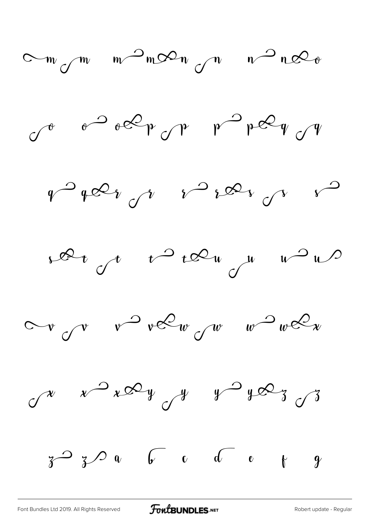

[Font Bundles Ltd 2019. All Rights Reserved](https://fontbundles.net/) **FoutBUNDLES.NET** [Robert update - Regular](https://fontbundles.net/)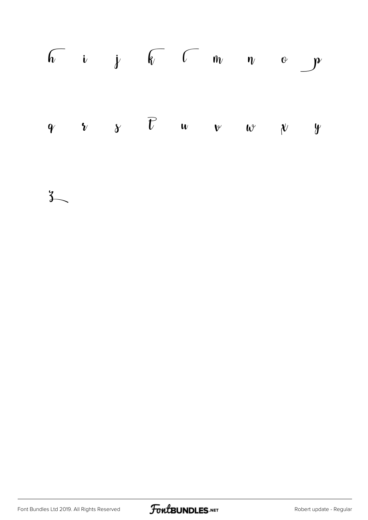|  | $\begin{array}{ccccccccc}\n\sqrt{2} & i & j & k & c & m & v & o\n\end{array}$                                   |  |  |  |
|--|-----------------------------------------------------------------------------------------------------------------|--|--|--|
|  | $\begin{array}{ccccccccc}\nq & & v & & \gamma & & \overline{U} & & u & & v & & w & & \gamma & y \\ \end{array}$ |  |  |  |

 $\mathcal{E}$  $\sim$ 

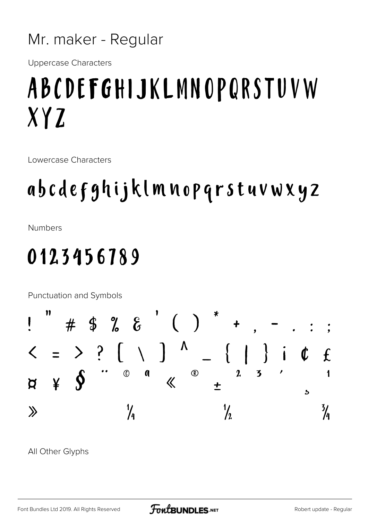#### Mr. maker - Regular

**Uppercase Characters** 

# ABCDEFGHIJKLMNOPQRSTUVW XYZ

Lowercase Characters

# abcdefghijklmnopqrstuvwxyz

**Numbers** 

# 0123456789

Punctuation and Symbols



All Other Glyphs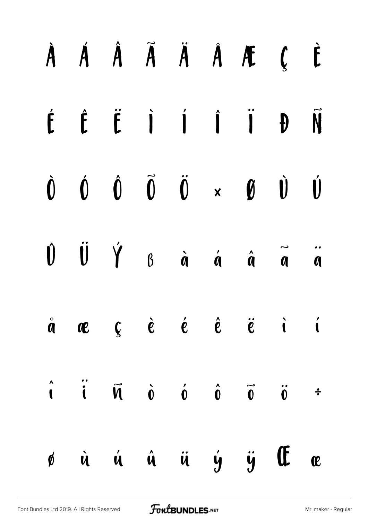| À Á Â Ã Ä Å Æ Ç È                                                                                                                                                                                                                                                                                                                                                                                                                |  |  |  |  |
|----------------------------------------------------------------------------------------------------------------------------------------------------------------------------------------------------------------------------------------------------------------------------------------------------------------------------------------------------------------------------------------------------------------------------------|--|--|--|--|
| É Ê Ë Ì Í Î Ï Đ Ñ                                                                                                                                                                                                                                                                                                                                                                                                                |  |  |  |  |
| $\begin{matrix} \mathbf{0} & \mathbf{0} & \mathbf{0} & \mathbf{0} & \mathbf{0} & \mathbf{0} & \mathbf{0} & \mathbf{0} & \mathbf{0} & \mathbf{0} & \mathbf{0} & \mathbf{0} & \mathbf{0} & \mathbf{0} & \mathbf{0} & \mathbf{0} & \mathbf{0} & \mathbf{0} & \mathbf{0} & \mathbf{0} & \mathbf{0} & \mathbf{0} & \mathbf{0} & \mathbf{0} & \mathbf{0} & \mathbf{0} & \mathbf{0} & \mathbf{0} & \mathbf{0} & \mathbf{0} & \mathbf{0$ |  |  |  |  |
| $\begin{matrix} \mathbf{0} & \mathbf{0} & \mathbf{0} & \mathbf{0} & \mathbf{0} & \mathbf{0} & \mathbf{0} & \mathbf{0} & \mathbf{0} & \mathbf{0} & \mathbf{0} & \mathbf{0} & \mathbf{0} & \mathbf{0} & \mathbf{0} & \mathbf{0} & \mathbf{0} & \mathbf{0} & \mathbf{0} & \mathbf{0} & \mathbf{0} & \mathbf{0} & \mathbf{0} & \mathbf{0} & \mathbf{0} & \mathbf{0} & \mathbf{0} & \mathbf{0} & \mathbf{0} & \mathbf{0} & \mathbf{0$ |  |  |  |  |
| $\dot{a}$ avec $\dot{c}$ $\dot{e}$ $\dot{e}$ $\dot{e}$ $\ddot{e}$ $\ddot{c}$ i                                                                                                                                                                                                                                                                                                                                                   |  |  |  |  |
| $\hat{\mathbf{i}}$ $\hat{\mathbf{i}}$ $\hat{\mathbf{w}}$ $\hat{\mathbf{v}}$ $\hat{\mathbf{v}}$ $\hat{\mathbf{v}}$ $\hat{\mathbf{v}}$ $\hat{\mathbf{v}}$ $\hat{\mathbf{v}}$                                                                                                                                                                                                                                                       |  |  |  |  |
| ø ù ú û ü ý ÿ Œ æ                                                                                                                                                                                                                                                                                                                                                                                                                |  |  |  |  |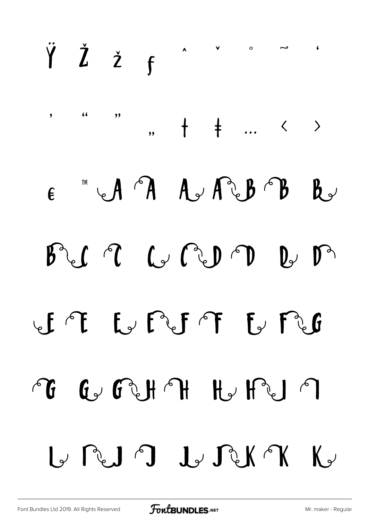#### ŸŽžf  $\sqrt{2}$  $\overline{\phantom{a}}$  $\lambda$  $\epsilon$  $, ,$  $\bullet$  $, +$  $+$  ...  $\leftarrow$  > CA A A A A B **TM**  $\mathbf{b}$  $\boldsymbol{\epsilon}$  $\begin{picture}(120,15) \put(0,0){\line(1,0){155}} \put(15,0){\line(1,0){155}} \put(15,0){\line(1,0){155}} \put(15,0){\line(1,0){155}} \put(15,0){\line(1,0){155}} \put(15,0){\line(1,0){155}} \put(15,0){\line(1,0){155}} \put(15,0){\line(1,0){155}} \put(15,0){\line(1,0){155}} \put(15,0){\line(1,0){155}} \put(15,0){\line(1,0){155}}$  $\mathbb{D}$  of  $\mathbb{D}$  $\int_{0}^{1}$  $\beta$ L'AFF & FU  $\sqrt{f}$  $H_{\nu}H^{\nu}$  $G$   $G$   $H$   $H$  $\int_0^\infty$  $\bigcap$ GRUJ JARA  $\mathbb{K}$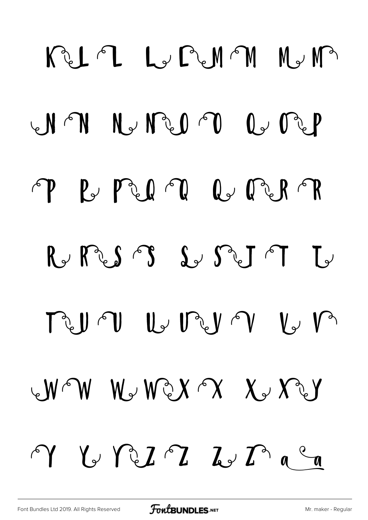REAL LUPAM NUM NN NUMMPO CUMP P B PLIN Q PLRP  $R\rightarrow R\$  is  $S\$  is set of  $L\rightarrow$ MUTU LUMIN LUM  $W^{\frown}W$   $W^{\frown}W^{\frown}X$   $X^{\frown}Y^{\frown}Y$  $V\vee V\vee I\cap L\vee L\cap C\neq\emptyset$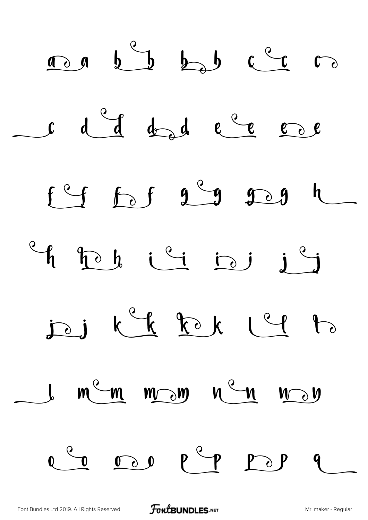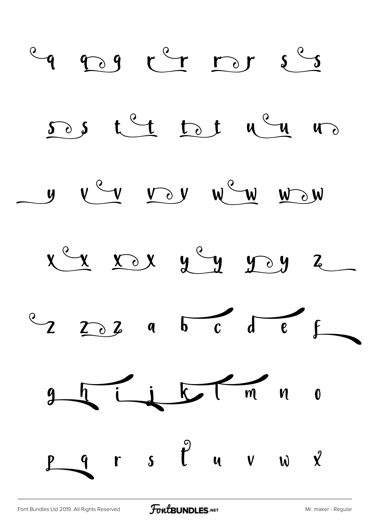